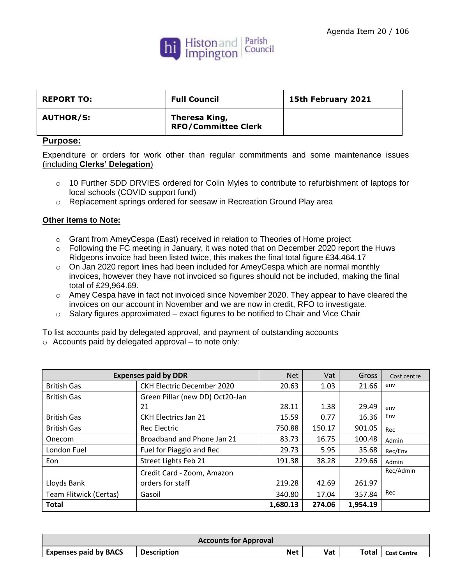

| <b>REPORT TO:</b> | <b>Full Council</b>                         | 15th February 2021 |
|-------------------|---------------------------------------------|--------------------|
| <b>AUTHOR/S:</b>  | Theresa King,<br><b>RFO/Committee Clerk</b> |                    |

## **Purpose:**

Expenditure or orders for work other than regular commitments and some maintenance issues (including **Clerks' Delegation**)

- o 10 Further SDD DRVIES ordered for Colin Myles to contribute to refurbishment of laptops for local schools (COVID support fund)
- o Replacement springs ordered for seesaw in Recreation Ground Play area

## **Other items to Note:**

- o Grant from AmeyCespa (East) received in relation to Theories of Home project
- $\circ$  Following the FC meeting in January, it was noted that on December 2020 report the Huws Ridgeons invoice had been listed twice, this makes the final total figure £34,464.17
- o On Jan 2020 report lines had been included for AmeyCespa which are normal monthly invoices, however they have not invoiced so figures should not be included, making the final total of £29,964.69.
- $\circ$  Amey Cespa have in fact not invoiced since November 2020. They appear to have cleared the invoices on our account in November and we are now in credit, RFO to investigate.
- $\circ$  Salary figures approximated exact figures to be notified to Chair and Vice Chair

To list accounts paid by delegated approval, and payment of outstanding accounts

|  |  |  |  |  |  | $\circ$ Accounts paid by delegated approval – to note only: |
|--|--|--|--|--|--|-------------------------------------------------------------|
|--|--|--|--|--|--|-------------------------------------------------------------|

| <b>Expenses paid by DDR</b> |                                   | <b>Net</b> | Vat    | Gross    | Cost centre |
|-----------------------------|-----------------------------------|------------|--------|----------|-------------|
| <b>British Gas</b>          | <b>CKH Electric December 2020</b> | 20.63      | 1.03   | 21.66    | env         |
| <b>British Gas</b>          | Green Pillar (new DD) Oct20-Jan   |            |        |          |             |
|                             | 21                                | 28.11      | 1.38   | 29.49    | env         |
| <b>British Gas</b>          | <b>CKH Electrics Jan 21</b>       | 15.59      | 0.77   | 16.36    | Env         |
| <b>British Gas</b>          | <b>Rec Electric</b>               | 750.88     | 150.17 | 901.05   | Rec         |
| Onecom                      | Broadband and Phone Jan 21        | 83.73      | 16.75  | 100.48   | Admin       |
| London Fuel                 | Fuel for Piaggio and Rec          | 29.73      | 5.95   | 35.68    | Rec/Env     |
| Eon                         | Street Lights Feb 21              | 191.38     | 38.28  | 229.66   | Admin       |
|                             | Credit Card - Zoom, Amazon        |            |        |          | Rec/Admin   |
| Lloyds Bank                 | orders for staff                  | 219.28     | 42.69  | 261.97   |             |
| Team Flitwick (Certas)      | Gasoil                            | 340.80     | 17.04  | 357.84   | Rec         |
| <b>Total</b>                |                                   | 1,680.13   | 274.06 | 1,954.19 |             |

| <b>Accounts for Approval</b> |                    |     |     |       |                    |  |
|------------------------------|--------------------|-----|-----|-------|--------------------|--|
| <b>Expenses paid by BACS</b> | <b>Description</b> | Net | Vat | Total | <b>Cost Centre</b> |  |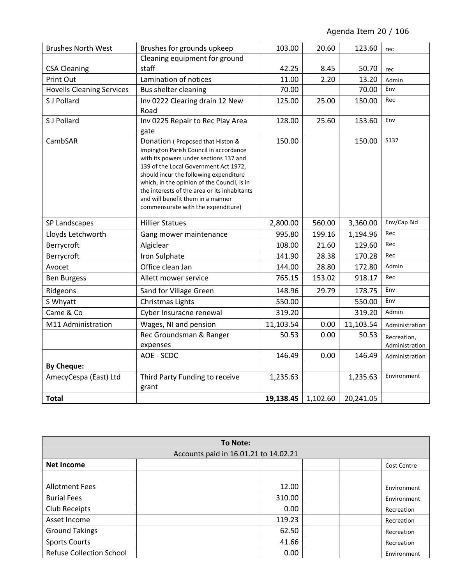| <b>Brushes North West</b>        | Brushes for grounds upkeep                                                                                                                                                                                                                                                                                                                                                        | 103.00    | 20.60    | 123.60    | rec                           |
|----------------------------------|-----------------------------------------------------------------------------------------------------------------------------------------------------------------------------------------------------------------------------------------------------------------------------------------------------------------------------------------------------------------------------------|-----------|----------|-----------|-------------------------------|
|                                  | Cleaning equipment for ground                                                                                                                                                                                                                                                                                                                                                     |           |          |           |                               |
| <b>CSA Cleaning</b>              | staff                                                                                                                                                                                                                                                                                                                                                                             | 42.25     | 8.45     | 50.70     | rec                           |
| <b>Print Out</b>                 | Lamination of notices                                                                                                                                                                                                                                                                                                                                                             | 11.00     | 2.20     | 13.20     | Admin                         |
| <b>Hovells Cleaning Services</b> | Bus shelter cleaning                                                                                                                                                                                                                                                                                                                                                              | 70.00     |          | 70.00     | Env                           |
| S J Pollard                      | Inv 0222 Clearing drain 12 New<br>Road                                                                                                                                                                                                                                                                                                                                            | 125.00    | 25.00    | 150.00    | Rec                           |
| S J Pollard                      | Inv 0225 Repair to Rec Play Area<br>gate                                                                                                                                                                                                                                                                                                                                          | 128.00    | 25.60    | 153.60    | Env                           |
| CambSAR                          | Donation (Proposed that Histon &<br>Impington Parish Council in accordance<br>with its powers under sections 137 and<br>139 of the Local Government Act 1972,<br>should incur the following expenditure<br>which, in the opinion of the Council, is in<br>the interests of the area or its inhabitants<br>and will benefit them in a manner<br>commensurate with the expenditure) | 150.00    |          | 150.00    | S137                          |
| SP Landscapes                    | <b>Hillier Statues</b>                                                                                                                                                                                                                                                                                                                                                            | 2,800.00  | 560.00   | 3,360.00  | Env/Cap Bid                   |
| Lloyds Letchworth                | Gang mower maintenance                                                                                                                                                                                                                                                                                                                                                            | 995.80    | 199.16   | 1,194.96  | Rec                           |
| Berrycroft                       | Algiclear                                                                                                                                                                                                                                                                                                                                                                         | 108.00    | 21.60    | 129.60    | Rec                           |
| Berrycroft                       | Iron Sulphate                                                                                                                                                                                                                                                                                                                                                                     | 141.90    | 28.38    | 170.28    | Rec                           |
| Avocet                           | Office clean Jan                                                                                                                                                                                                                                                                                                                                                                  | 144.00    | 28.80    | 172.80    | Admin                         |
| <b>Ben Burgess</b>               | Allett mower service                                                                                                                                                                                                                                                                                                                                                              | 765.15    | 153.02   | 918.17    | Rec                           |
| Ridgeons                         | Sand for Village Green                                                                                                                                                                                                                                                                                                                                                            | 148.96    | 29.79    | 178.75    | Env                           |
| S Whyatt                         | <b>Christmas Lights</b>                                                                                                                                                                                                                                                                                                                                                           | 550.00    |          | 550.00    | Env                           |
| Came & Co                        | Cyber Insuracne renewal                                                                                                                                                                                                                                                                                                                                                           | 319.20    |          | 319.20    | Admin                         |
| M11 Administration               | Wages, NI and pension                                                                                                                                                                                                                                                                                                                                                             | 11,103.54 | 0.00     | 11,103.54 | Administration                |
|                                  | Rec Groundsman & Ranger<br>expenses                                                                                                                                                                                                                                                                                                                                               | 50.53     | 0.00     | 50.53     | Recreation,<br>Administration |
|                                  | AOE - SCDC                                                                                                                                                                                                                                                                                                                                                                        | 146.49    | 0.00     | 146.49    | Administration                |
| <b>By Cheque:</b>                |                                                                                                                                                                                                                                                                                                                                                                                   |           |          |           |                               |
| AmecyCespa (East) Ltd            | Third Party Funding to receive<br>grant                                                                                                                                                                                                                                                                                                                                           | 1,235.63  |          | 1,235.63  | Environment                   |
| <b>Total</b>                     |                                                                                                                                                                                                                                                                                                                                                                                   | 19,138.45 | 1,102.60 | 20,241.05 |                               |

| <b>To Note:</b>                 |                                       |                    |  |  |  |
|---------------------------------|---------------------------------------|--------------------|--|--|--|
|                                 | Accounts paid in 16.01.21 to 14.02.21 |                    |  |  |  |
| <b>Net Income</b>               |                                       | <b>Cost Centre</b> |  |  |  |
|                                 |                                       |                    |  |  |  |
| <b>Allotment Fees</b>           | 12.00                                 | Environment        |  |  |  |
| <b>Burial Fees</b>              | 310.00                                | Environment        |  |  |  |
| Club Receipts                   | 0.00                                  | Recreation         |  |  |  |
| Asset Income                    | 119.23                                | Recreation         |  |  |  |
| <b>Ground Takings</b>           | 62.50                                 | Recreation         |  |  |  |
| <b>Sports Courts</b>            | 41.66                                 | Recreation         |  |  |  |
| <b>Refuse Collection School</b> | 0.00                                  | Environment        |  |  |  |